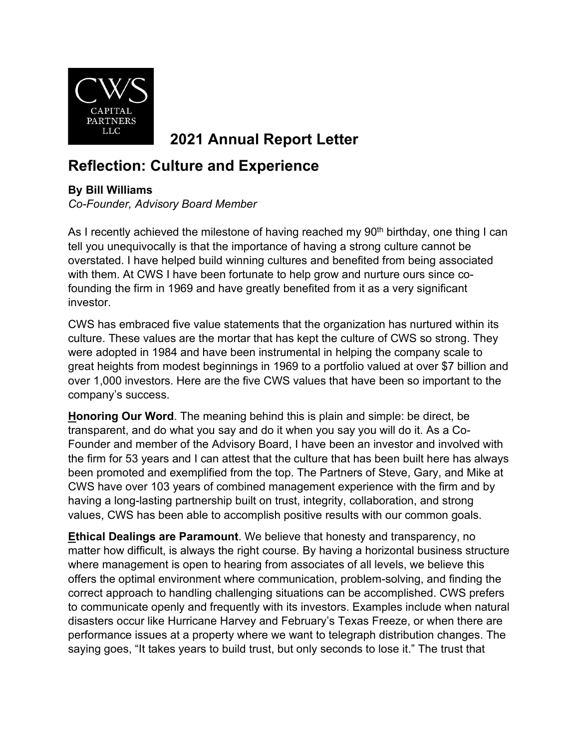

**2021 Annual Report Letter**

## **Reflection: Culture and Experience**

## **By Bill Williams**

*Co-Founder, Advisory Board Member*

As I recently achieved the milestone of having reached my  $90<sup>th</sup>$  birthday, one thing I can tell you unequivocally is that the importance of having a strong culture cannot be overstated. I have helped build winning cultures and benefited from being associated with them. At CWS I have been fortunate to help grow and nurture ours since cofounding the firm in 1969 and have greatly benefited from it as a very significant investor.

CWS has embraced five value statements that the organization has nurtured within its culture. These values are the mortar that has kept the culture of CWS so strong. They were adopted in 1984 and have been instrumental in helping the company scale to great heights from modest beginnings in 1969 to a portfolio valued at over \$7 billion and over 1,000 investors. Here are the five CWS values that have been so important to the company's success.

**Honoring Our Word**. The meaning behind this is plain and simple: be direct, be transparent, and do what you say and do it when you say you will do it. As a Co-Founder and member of the Advisory Board, I have been an investor and involved with the firm for 53 years and I can attest that the culture that has been built here has always been promoted and exemplified from the top. The Partners of Steve, Gary, and Mike at CWS have over 103 years of combined management experience with the firm and by having a long-lasting partnership built on trust, integrity, collaboration, and strong values, CWS has been able to accomplish positive results with our common goals.

**Ethical Dealings are Paramount**. We believe that honesty and transparency, no matter how difficult, is always the right course. By having a horizontal business structure where management is open to hearing from associates of all levels, we believe this offers the optimal environment where communication, problem-solving, and finding the correct approach to handling challenging situations can be accomplished. CWS prefers to communicate openly and frequently with its investors. Examples include when natural disasters occur like Hurricane Harvey and February's Texas Freeze, or when there are performance issues at a property where we want to telegraph distribution changes. The saying goes, "It takes years to build trust, but only seconds to lose it." The trust that